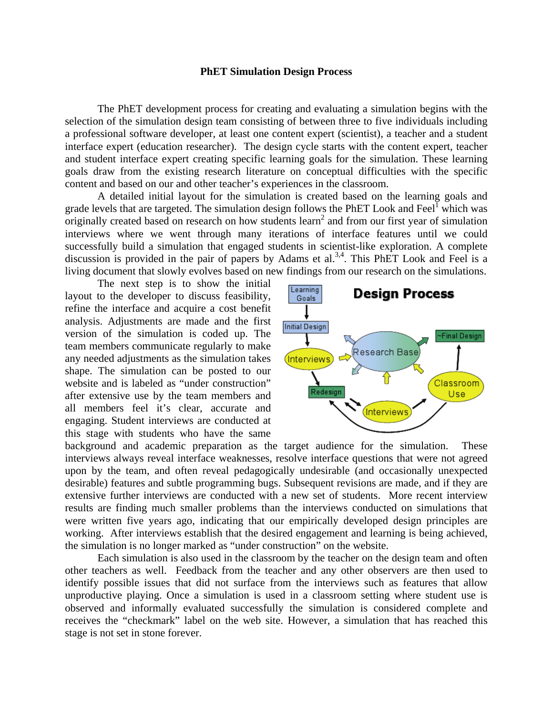## **PhET Simulation Design Process**

 The PhET development process for creating and evaluating a simulation begins with the selection of the simulation design team consisting of between three to five individuals including a professional software developer, at least one content expert (scientist), a teacher and a student interface expert (education researcher). The design cycle starts with the content expert, teacher and student interface expert creating specific learning goals for the simulation. These learning goals draw from the existing research literature on conceptual difficulties with the specific content and based on our and other teacher's experiences in the classroom.

A detailed initial layout for the simulation is created based on the learning goals and grade levels that are targeted. The simulation design follows the PhET Look and Feel $^{\text{I}}$  which was  $\alpha$  originally created based on research on how students learn<sup>2</sup> and from our first year of simulation interviews where we went through many iterations of interface features until we could successfully build a simulation that engaged students in scientist-like exploration. A complete discussion is provided in the pair of papers by Adams et al.<sup>3,4</sup>. This PhET Look and Feel is a living document that slowly evolves based on new findings from our research on the simulations.

The next step is to show the initial layout to the developer to discuss feasibility, refine the interface and acquire a cost benefit analysis. Adjustments are made and the first version of the simulation is coded up. The team members communicate regularly to make any needed adjustments as the simulation takes shape. The simulation can be posted to our website and is labeled as "under construction" after extensive use by the team members and all members feel it's clear, accurate and engaging. Student interviews are conducted at this stage with students who have the same



background and academic preparation as the target audience for the simulation. These interviews always reveal interface weaknesses, resolve interface questions that were not agreed upon by the team, and often reveal pedagogically undesirable (and occasionally unexpected desirable) features and subtle programming bugs. Subsequent revisions are made, and if they are extensive further interviews are conducted with a new set of students. More recent interview results are finding much smaller problems than the interviews conducted on simulations that were written five years ago, indicating that our empirically developed design principles are working. After interviews establish that the desired engagement and learning is being achieved, the simulation is no longer marked as "under construction" on the website.

Each simulation is also used in the classroom by the teacher on the design team and often other teachers as well. Feedback from the teacher and any other observers are then used to identify possible issues that did not surface from the interviews such as features that allow unproductive playing. Once a simulation is used in a classroom setting where student use is observed and informally evaluated successfully the simulation is considered complete and receives the "checkmark" label on the web site. However, a simulation that has reached this stage is not set in stone forever.